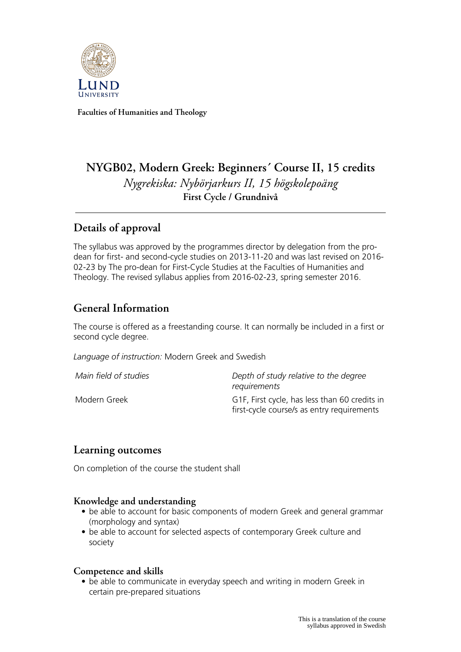

**Faculties of Humanities and Theology**

# **NYGB02, Modern Greek: Beginners´ Course II, 15 credits** *Nygrekiska: Nybörjarkurs II, 15 högskolepoäng* **First Cycle / Grundnivå**

## **Details of approval**

The syllabus was approved by the programmes director by delegation from the prodean for first- and second-cycle studies on 2013-11-20 and was last revised on 2016- 02-23 by The pro-dean for First-Cycle Studies at the Faculties of Humanities and Theology. The revised syllabus applies from 2016-02-23, spring semester 2016.

## **General Information**

The course is offered as a freestanding course. It can normally be included in a first or second cycle degree.

*Language of instruction:* Modern Greek and Swedish

| Main field of studies | Depth of study relative to the degree<br>requirements                                       |
|-----------------------|---------------------------------------------------------------------------------------------|
| Modern Greek          | G1F, First cycle, has less than 60 credits in<br>first-cycle course/s as entry requirements |

## **Learning outcomes**

On completion of the course the student shall

#### **Knowledge and understanding**

- be able to account for basic components of modern Greek and general grammar (morphology and syntax)
- be able to account for selected aspects of contemporary Greek culture and society

#### **Competence and skills**

• be able to communicate in everyday speech and writing in modern Greek in certain pre-prepared situations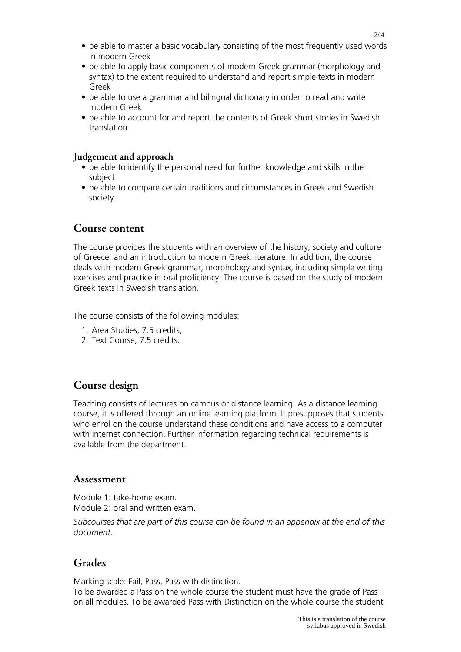- be able to master a basic vocabulary consisting of the most frequently used words in modern Greek
- be able to apply basic components of modern Greek grammar (morphology and syntax) to the extent required to understand and report simple texts in modern Greek
- be able to use a grammar and bilingual dictionary in order to read and write modern Greek
- be able to account for and report the contents of Greek short stories in Swedish translation

#### **Judgement and approach**

- be able to identify the personal need for further knowledge and skills in the subject
- be able to compare certain traditions and circumstances in Greek and Swedish society.

#### **Course content**

The course provides the students with an overview of the history, society and culture of Greece, and an introduction to modern Greek literature. In addition, the course deals with modern Greek grammar, morphology and syntax, including simple writing exercises and practice in oral proficiency. The course is based on the study of modern Greek texts in Swedish translation.

The course consists of the following modules:

- 1. Area Studies, 7.5 credits,
- 2. Text Course, 7.5 credits.

## **Course design**

Teaching consists of lectures on campus or distance learning. As a distance learning course, it is offered through an online learning platform. It presupposes that students who enrol on the course understand these conditions and have access to a computer with internet connection. Further information regarding technical requirements is available from the department.

#### **Assessment**

Module 1: take-home exam. Module 2: oral and written exam.

*Subcourses that are part of this course can be found in an appendix at the end of this document.*

## **Grades**

Marking scale: Fail, Pass, Pass with distinction. To be awarded a Pass on the whole course the student must have the grade of Pass on all modules. To be awarded Pass with Distinction on the whole course the student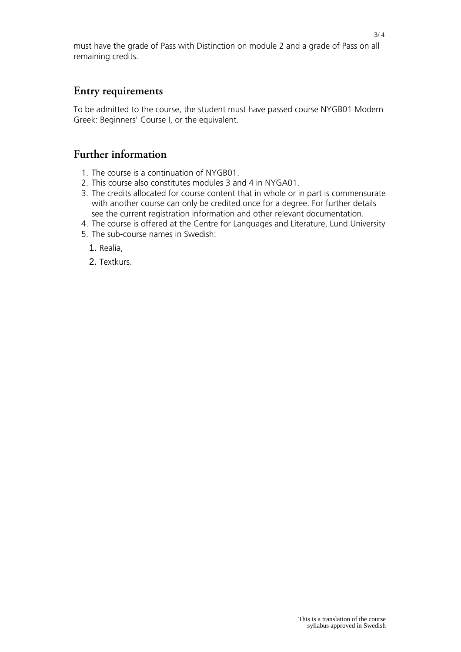must have the grade of Pass with Distinction on module 2 and a grade of Pass on all remaining credits.

### **Entry requirements**

To be admitted to the course, the student must have passed course NYGB01 Modern Greek: Beginners' Course I, or the equivalent.

## **Further information**

- 1. The course is a continuation of NYGB01.
- 2. This course also constitutes modules 3 and 4 in NYGA01.
- 3. The credits allocated for course content that in whole or in part is commensurate with another course can only be credited once for a degree. For further details see the current registration information and other relevant documentation.
- 4. The course is offered at the Centre for Languages and Literature, Lund University
- 5. The sub-course names in Swedish:
	- 1. Realia,
	- 2. Textkurs.